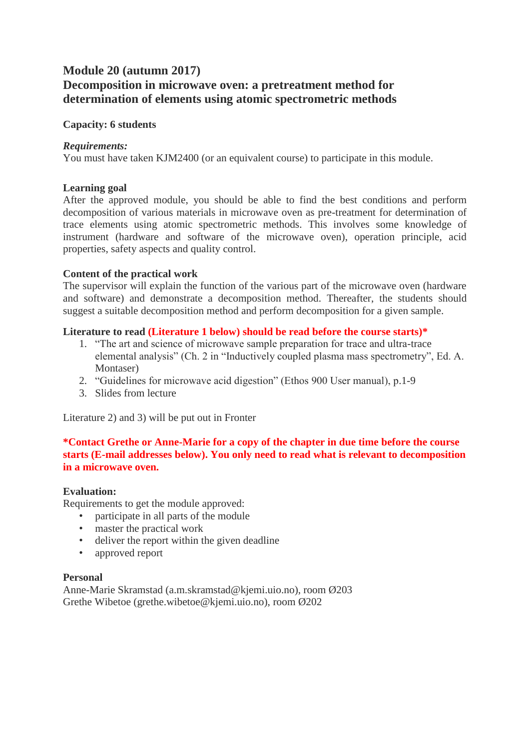# **Module 20 (autumn 2017) Decomposition in microwave oven: a pretreatment method for determination of elements using atomic spectrometric methods**

#### **Capacity: 6 students**

#### *Requirements:*

You must have taken KJM2400 (or an equivalent course) to participate in this module.

## **Learning goal**

After the approved module, you should be able to find the best conditions and perform decomposition of various materials in microwave oven as pre-treatment for determination of trace elements using atomic spectrometric methods. This involves some knowledge of instrument (hardware and software of the microwave oven), operation principle, acid properties, safety aspects and quality control.

## **Content of the practical work**

The supervisor will explain the function of the various part of the microwave oven (hardware and software) and demonstrate a decomposition method. Thereafter, the students should suggest a suitable decomposition method and perform decomposition for a given sample.

## **Literature to read (Literature 1 below) should be read before the course starts)\***

- 1. "The art and science of microwave sample preparation for trace and ultra-trace elemental analysis" (Ch. 2 in "Inductively coupled plasma mass spectrometry", Ed. A. Montaser)
- 2. "Guidelines for microwave acid digestion" (Ethos 900 User manual), p.1-9
- 3. Slides from lecture

Literature 2) and 3) will be put out in Fronter

## **\*Contact Grethe or Anne-Marie for a copy of the chapter in due time before the course starts (E-mail addresses below). You only need to read what is relevant to decomposition in a microwave oven.**

#### **Evaluation:**

Requirements to get the module approved:

- participate in all parts of the module
- master the practical work
- deliver the report within the given deadline
- approved report

## **Personal**

Anne-Marie Skramstad (a.m.skramstad@kjemi.uio.no), room Ø203 Grethe Wibetoe (grethe.wibetoe@kjemi.uio.no), room Ø202